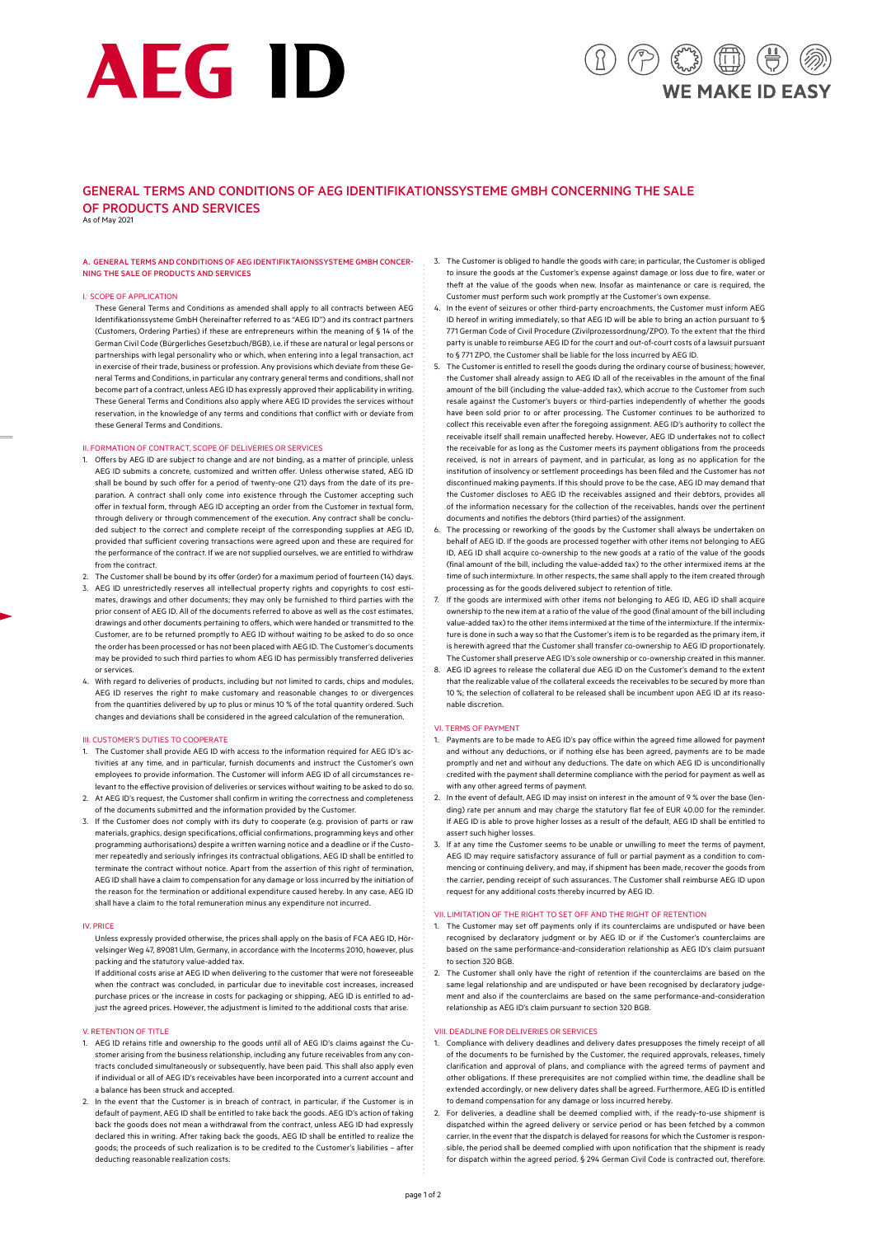# AEG ID

## $(\Box)$ **F MAKE ID FASY**

### GENERAL TERMS AND CONDITIONS OF AEG IDENTIFIKATIONSSYSTEME GMBH CONCERNING THE SALE OF PRODUCTS AND SERVICES

As of May 2021

### A. GENERAL TERMS AND CONDITIONS OF AEG IDENTIFIKTAIONSSYSTEME GMBH CONCER-NING THE SALE OF PRODUCTS AND SERVICES

### I. SCOPE OF APPLICATION

These General Terms and Conditions as amended shall apply to all contracts between AEG Identifikationssysteme GmbH (hereinafter referred to as "AEG ID") and its contract partners (Customers, Ordering Parties) if these are entrepreneurs within the meaning of § 14 of the German Civil Code (Bürgerliches Gesetzbuch/BGB), i.e. if these are natural or legal persons or partnerships with legal personality who or which, when entering into a legal transaction, act in exercise of their trade, business or profession. Any provisions which deviate from these General Terms and Conditions, in particular any contrary general terms and conditions, shall not become part of a contract, unless AEG ID has expressly approved their applicability in writing. These General Terms and Conditions also apply where AEG ID provides the services without reservation, in the knowledge of any terms and conditions that conflict with or deviate from these General Terms and Conditions.

### II. FORMATION OF CONTRACT, SCOPE OF DELIVERIES OR SERVICES

- 1. Offers by AEG ID are subject to change and are not binding, as a matter of principle, unless AEG ID submits a concrete, customized and written offer. Unless otherwise stated, AEG ID shall be bound by such offer for a period of twenty-one (21) days from the date of its preparation. A contract shall only come into existence through the Customer accepting such offer in textual form, through AEG ID accepting an order from the Customer in textual form, through delivery or through commencement of the execution. Any contract shall be concluded subject to the correct and complete receipt of the corresponding supplies at AEG ID, provided that sufficient covering transactions were agreed upon and these are required for the performance of the contract. If we are not supplied ourselves, we are entitled to withdraw from the contract.
- 2. The Customer shall be bound by its offer (order) for a maximum period of fourteen (14) days. 3. AEG ID unrestrictedly reserves all intellectual property rights and copyrights to cost estimates, drawings and other documents; they may only be furnished to third parties with the prior consent of AEG ID. All of the documents referred to above as well as the cost estimates, drawings and other documents pertaining to offers, which were handed or transmitted to the Customer, are to be returned promptly to AEG ID without waiting to be asked to do so once the order has been processed or has not been placed with AEG ID. The Customer's documents may be provided to such third parties to whom AEG ID has permissibly transferred deliveries or services.
- 4. With regard to deliveries of products, including but not limited to cards, chips and modules, AEG ID reserves the right to make customary and reasonable changes to or divergences from the quantities delivered by up to plus or minus 10 % of the total quantity ordered. Such changes and deviations shall be considered in the agreed calculation of the remuneration

### III. CUSTOMER'S DUTIES TO COOPERATE

- 1. The Customer shall provide AEG ID with access to the information required for AEG ID's activities at any time, and in particular, furnish documents and instruct the Customer's own employees to provide information. The Customer will inform AEG ID of all circumstances relevant to the effective provision of deliveries or services without waiting to be asked to do so.
- 2. At AEG ID's request, the Customer shall confirm in writing the correctness and completeness of the documents submitted and the information provided by the Customer. 3. If the Customer does not comply with its duty to cooperate (e.g. provision of parts or raw
- materials, graphics, design specifications, official confirmations, programming keys and other programming authorisations) despite a written warning notice and a deadline or if the Customer repeatedly and seriously infringes its contractual obligations, AEG ID shall be entitled to terminate the contract without notice. Apart from the assertion of this right of termination, AEG ID shall have a claim to compensation for any damage or loss incurred by the initiation of the reason for the termination or additional expenditure caused hereby. In any case, AEG ID shall have a claim to the total remuneration minus any expenditure not incurred.

### IV. PRICE

- Unless expressly provided otherwise, the prices shall apply on the basis of FCA AEG ID, Hörvelsinger Weg 47, 89081 Ulm, Germany, in accordance with the Incoterms 2010, however, plus packing and the statutory value-added tax.
- If additional costs arise at AEG ID when delivering to the customer that were not foreseeable when the contract was concluded, in particular due to inevitable cost increases, increased purchase prices or the increase in costs for packaging or shipping, AEG ID is entitled to adjust the agreed prices. However, the adjustment is limited to the additional costs that arise.

### V. RETENTION OF TITLE

- 1. AEG ID retains title and ownership to the goods until all of AEG ID's claims against the Customer arising from the business relationship, including any future receivables from any contracts concluded simultaneously or subsequently, have been paid. This shall also apply even if individual or all of AEG ID's receivables have been incorporated into a current account and a balance has been struck and accepted.
- 2. In the event that the Customer is in breach of contract, in particular, if the Customer is in default of payment, AEG ID shall be entitled to take back the goods. AEG ID's action of taking back the goods does not mean a withdrawal from the contract, unless AEG ID had expressly declared this in writing. After taking back the goods, AEG ID shall be entitled to realize the goods; the proceeds of such realization is to be credited to the Customer's liabilities – after deducting reasonable realization costs.
- 3. The Customer is obliged to handle the goods with care; in particular, the Customer is obliged to insure the goods at the Customer's expense against damage or loss due to fire, water or theft at the value of the goods when new. Insofar as maintenance or care is required, the Customer must perform such work promptly at the Customer's own expense.
- In the event of seizures or other third-party encroachments, the Customer must inform AEG ID hereof in writing immediately, so that AEG ID will be able to bring an action pursuant to § 771 German Code of Civil Procedure (Zivilprozessordnung/ZPO). To the extent that the third party is unable to reimburse AEG ID for the court and out-of-court costs of a lawsuit pursuant .<br>to § 771 ZPO, the Customer shall be liable for the loss incurred by AFG ID.
- 5. The Customer is entitled to resell the goods during the ordinary course of business; however, the Customer shall already assign to AEG ID all of the receivables in the amount of the final amount of the bill (including the value-added tax), which accrue to the Customer from such resale against the Customer's buyers or third-parties independently of whether the goods have been sold prior to or after processing. The Customer continues to be authorized to collect this receivable even after the foregoing assignment. AEG ID's authority to collect the receivable itself shall remain unaffected hereby. However, AEG ID undertakes not to collect the receivable for as long as the Customer meets its payment obligations from the proceeds received, is not in arrears of payment, and in particular, as long as no application for the institution of insolvency or settlement proceedings has been filed and the Customer has not discontinued making payments. If this should prove to be the case, AEG ID may demand that the Customer discloses to AEG ID the receivables assigned and their debtors, provides all of the information necessary for the collection of the receivables, hands over the pertinent documents and notifies the debtors (third parties) of the assignment.
- 6. The processing or reworking of the goods by the Customer shall always be undertaken on behalf of AEG ID. If the goods are processed together with other items not belonging to AEG ID, AEG ID shall acquire co-ownership to the new goods at a ratio of the value of the goods (final amount of the bill, including the value-added tax) to the other intermixed items at the time of such intermixture. In other respects, the same shall apply to the item created through processing as for the goods delivered subject to retention of title.
- 7. If the goods are intermixed with other items not belonging to AEG ID, AEG ID shall acquire ownership to the new item at a ratio of the value of the good (final amount of the bill including value-added tax) to the other items intermixed at the time of the intermixture. If the intermixture is done in such a way so that the Customer's item is to be regarded as the primary item, it is herewith agreed that the Customer shall transfer co-ownership to AEG ID proportionately. The Customer shall preserve AEG ID's sole ownership or co-ownership created in this manner.
- 8. AEG ID agrees to release the collateral due AEG ID on the Customer's demand to the extent that the realizable value of the collateral exceeds the receivables to be secured by more than 10 %; the selection of collateral to be released shall be incumbent upon AEG ID at its reasonable discretion.

### VI. TERMS OF PAYMENT

- 1. Payments are to be made to AEG ID's pay office within the agreed time allowed for payment and without any deductions, or if nothing else has been agreed, payments are to be made promptly and net and without any deductions. The date on which AEG ID is unconditionally credited with the payment shall determine compliance with the period for payment as well as with any other agreed terms of payment.
- 2. In the event of default, AEG ID may insist on interest in the amount of 9 % over the base (lending) rate per annum and may charge the statutory flat fee of EUR 40.00 for the reminder. If AEG ID is able to prove higher losses as a result of the default, AEG ID shall be entitled to assert such higher losses.
- 3. If at any time the Customer seems to be unable or unwilling to meet the terms of payment, AEG ID may require satisfactory assurance of full or partial payment as a condition to commencing or continuing delivery, and may, if shipment has been made, recover the goods from the carrier, pending receipt of such assurances. The Customer shall reimburse AEG ID upon request for any additional costs thereby incurred by AEG ID.

### VII. LIMITATION OF THE RIGHT TO SET OFF AND THE RIGHT OF RETENTION

- 1. The Customer may set off payments only if its counterclaims are undisputed or have been recognised by declaratory judgment or by AEG ID or if the Customer's counterclaims are based on the same performance-and-consideration relationship as AEG ID's claim pursuant to section 320 BGB.
- 2. The Customer shall only have the right of retention if the counterclaims are based on the same legal relationship and are undisputed or have been recognised by declaratory judgement and also if the counterclaims are based on the same performance-and-consideration relationship as AEG ID's claim pursuant to section 320 BGB.

### VIII. DEADLINE FOR DELIVERIES OR SERVICES

- 1. Compliance with delivery deadlines and delivery dates presupposes the timely receipt of all of the documents to be furnished by the Customer, the required approvals, releases, timely clarification and approval of plans, and compliance with the agreed terms of payment and other obligations. If these prerequisites are not complied within time, the deadline shall be extended accordingly, or new delivery dates shall be agreed. Furthermore, AEG ID is entitled to demand compensation for any damage or loss incurred hereby.
- 2. For deliveries, a deadline shall be deemed complied with, if the ready-to-use shipment is dispatched within the agreed delivery or service period or has been fetched by a common carrier. In the event that the dispatch is delayed for reasons for which the Customer is responsible, the period shall be deemed complied with upon notification that the shipment is ready for dispatch within the agreed period. § 294 German Civil Code is contracted out, therefore.